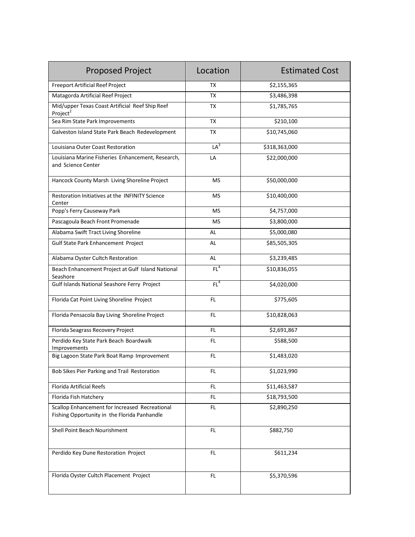| <b>Proposed Project</b>                                                                        | Location        | <b>Estimated Cost</b>   |
|------------------------------------------------------------------------------------------------|-----------------|-------------------------|
| <b>Freeport Artificial Reef Project</b>                                                        | TX              | \$2,155,365             |
| Matagorda Artificial Reef Project                                                              | <b>TX</b>       | \$3,486,398             |
| Mid/upper Texas Coast Artificial Reef Ship Reef<br>Project <sup>2</sup>                        | ТX              | \$1,785,765             |
| Sea Rim State Park Improvements                                                                | <b>TX</b>       | \$210,100               |
| Galveston Island State Park Beach Redevelopment                                                | TX              | \$10,745,060            |
| Louisiana Outer Coast Restoration                                                              | LA <sup>3</sup> | \$318,363,000           |
| Louisiana Marine Fisheries Enhancement, Research,<br>and Science Center                        | LA              | \$22,000,000            |
| Hancock County Marsh Living Shoreline Project                                                  | <b>MS</b>       | \$50,000,000            |
| Restoration Initiatives at the INFINITY Science<br>Center                                      | <b>MS</b>       | \$10,400,000            |
| Popp's Ferry Causeway Park                                                                     | <b>MS</b>       | \$4,757,000             |
| Pascagoula Beach Front Promenade                                                               | MS              | \$3,800,000             |
| Alabama Swift Tract Living Shoreline                                                           | AL              | \$5,000,080             |
| Gulf State Park Enhancement Project                                                            | AL              | \$85,505,305            |
| Alabama Oyster Cultch Restoration                                                              | AL              | \$3,239,485             |
| Beach Enhancement Project at Gulf Island National<br>Seashore                                  | FL <sup>4</sup> | \$10,836,055            |
| Gulf Islands National Seashore Ferry Project                                                   | FL <sup>4</sup> | \$4,020,000             |
| Florida Cat Point Living Shoreline Project                                                     | FL.             | \$775,605               |
| Florida Pensacola Bay Living Shoreline Project                                                 | FL.             | \$10,828,063            |
| Florida Seagrass Recovery Project                                                              | FL.             | \$2,691,867             |
| Perdido Key State Park Beach Boardwalk<br>Improvements                                         | FL.             | \$588,500               |
| Big Lagoon State Park Boat Ramp Improvement                                                    | FL.             | $\overline{$}1,483,020$ |
| Bob Sikes Pier Parking and Trail Restoration                                                   | FL              | \$1,023,990             |
| Florida Artificial Reefs                                                                       | FL.             | \$11,463,587            |
| Florida Fish Hatchery                                                                          | FL.             | \$18,793,500            |
| Scallop Enhancement for Increased Recreational<br>Fishing Opportunity in the Florida Panhandle | FL.             | \$2,890,250             |
| Shell Point Beach Nourishment                                                                  | FL.             | \$882,750               |
| Perdido Key Dune Restoration Project                                                           | FL              | \$611,234               |
| Florida Oyster Cultch Placement Project                                                        | FL.             | \$5,370,596             |